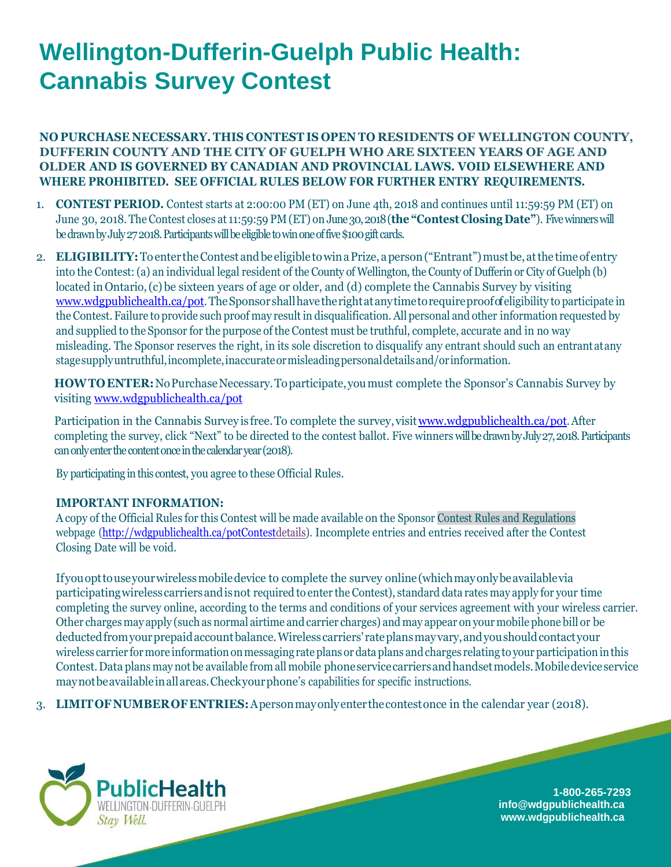## **Wellington-Dufferin-Guelph Public Health: Cannabis Survey Contest**

**NO PURCHASE NECESSARY. THIS CONTEST IS OPEN TO RESIDENTS OF WELLINGTON COUNTY, DUFFERIN COUNTY AND THE CITY OF GUELPH WHO ARE SIXTEEN YEARS OF AGE AND OLDER AND IS GOVERNED BY CANADIAN AND PROVINCIAL LAWS. VOID ELSEWHERE AND WHERE PROHIBITED. SEE OFFICIAL RULES BELOW FOR FURTHER ENTRY REQUIREMENTS.**

- 1. **CONTEST PERIOD.** Contest starts at 2:00:00 PM (ET) on June 4th, 2018 and continues until 11:59:59 PM (ET) on June 30, 2018. The Contest closes at 11:59:59 PM (ET) on June 30, 2018(**the "Contest Closing Date"**). Five winnerswill be drawn by July 272018. Participants will be eligible to win one of five \$100 gift cards.
- 2. **ELIGIBILITY:** To enter the Contest and be eligible to win a Prize, a person ("Entrant") must be, at the time of entry into the Contest: (a) an individual legal resident of the County of Wellington, the County of Dufferin or City of Guelph (b) located in Ontario,(c) be sixteen years of age or older, and (d) complete the Cannabis Survey by visiting [www.wdgpublichealth.ca/pot.](http://www.wdgpublichealth.ca/pot)TheSponsorshallhavetherightatanytimetorequireproofofeligibility to participate in the Contest. Failure to provide such proof may result in disqualification. All personal and other information requested by and supplied to the Sponsor for the purpose of the Contest must be truthful, complete, accurate and in no way misleading. The Sponsor reserves the right, in its sole discretion to disqualify any entrant should such an entrantatany stagesupplyuntruthful,incomplete,inaccurateormisleadingpersonaldetailsand/orinformation.

HOWTO ENTER: No Purchase Necessary. To participate, you must complete the Sponsor's Cannabis Survey by visiting [www.wdgpublichealth.ca/pot](http://www.wdgpublichealth.ca/pot)

Participation in the Cannabis Survey is free. To complete the survey, visit www.wdgpublichealth.ca/pot.After completing the survey, click "Next" to be directed to the contest ballot. Five winners will be drawn by July 27, 2018. Participants can only enter the content once in the calendar year (2018).

By participating in this contest, you agree to these Official Rules.

## **IMPORTANT INFORMATION:**

A copy of the Official Rules for this Contest will be made available on the Sponsor Contest Rules and Regulations webpage [\(http://wdgpublichealth.ca/potContestdetails\)](http://wdgpublichealth.ca/potContestdetails). Incomplete entries and entries received after the Contest Closing Date will be void.

Ifyouopttouseyourwirelessmobiledevice to complete the survey online(whichmayonlybeavailablevia participatingwirelesscarriersandisnot required to enter the Contest), standard data rates may apply for your time completing the survey online, according to the terms and conditions of your services agreement with your wireless carrier. Other chargesmay apply (such as normal airtime and carrier charges) and may appear on yourmobile phone bill or be deductedfromyourprepaidaccountbalance.Wirelesscarriers' rateplansmayvary,andyoushouldcontactyour wireless carrier for more information on messaging rate plans or data plans and charges relating to your participation in this Contest.Data plans may not be available from all mobile phoneservicecarriersandhandsetmodels.Mobiledeviceservice maynotbeavailableinallareas.Checkyourphone's capabilities for specific instructions.

3. **LIMITOFNUMBEROFENTRIES:**Apersonmayonlyenter thecontestonce in the calendar year (2018).



**1-800-265-7293 [info@wdgpublichealth.ca](mailto:info@wdgpublichealth.ca) [www.wdgpublichealth.ca](http://www.wdgpublichealth.ca/)**

<u>a shekara ta 1999 </u>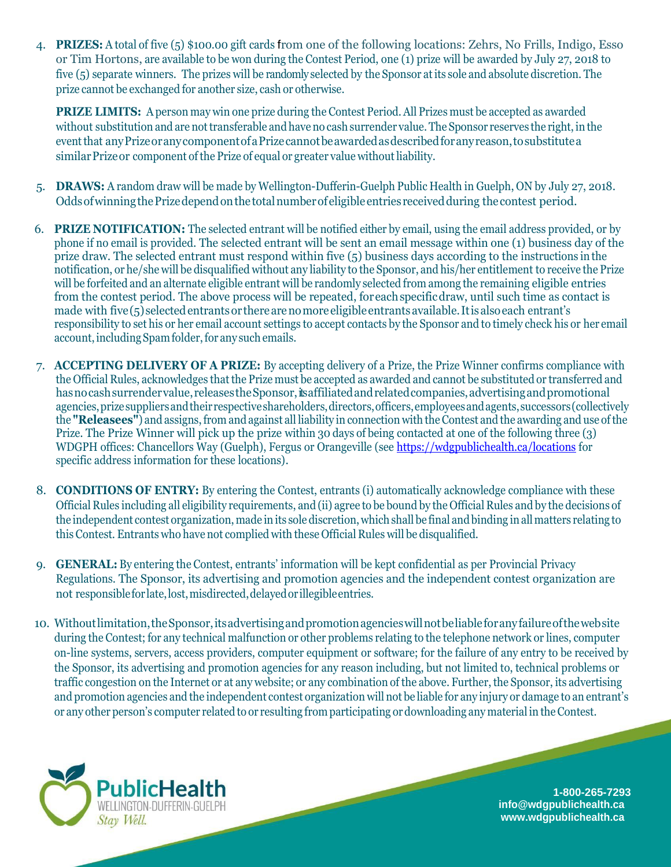4. **PRIZES:** A total of five (5) \$100.00 gift cards from one of the following locations: Zehrs, No Frills, Indigo, Esso or Tim Hortons, are available to be won during the Contest Period, one (1) prize will be awarded by July 27, 2018 to five (5) separate winners. The prizes will be randomly selected by the Sponsor atits sole and absolute discretion. The prize cannot be exchanged for another size, cash or otherwise.

**PRIZE LIMITS:** A person may win one prize during the Contest Period. All Prizes must be accepted as awarded without substitution and are not transferable and have no cash surrender value. The Sponsor reserves the right, in the eventthat anyPrizeoranycomponentofaPrizecannotbeawardedasdescribedforanyreason,tosubstitutea similar Prize or component of the Prize of equal or greater value without liability.

- 5. **DRAWS:** A random draw will be made by Wellington-Dufferin-Guelph Public Health in Guelph, ON by July 27, 2018. OddsofwinningthePrizedependonthetotalnumberofeligibleentries receivedduring the contest period.
- 6. **PRIZE NOTIFICATION:** The selected entrant will be notified either by email, using the email address provided, or by phone if no email is provided. The selected entrant will be sent an email message within one (1) business day of the prize draw. The selected entrant must respond within five (5) business days according to the instructions in the notification, or he/she will be disqualified without any liability to the Sponsor, and his/her entitlement to receive the Prize will be forfeited and an alternate eligible entrant will be randomly selected from among the remaining eligible entries from the contest period. The above process will be repeated, foreachspecificdraw, until such time as contact is made with five(5)selectedentrantsor therearenomoreeligibleentrantsavailable.Itisalsoeach entrant's responsibility to set his or her email account settings to accept contacts by the Sponsor and to timely check his or her email account, including Spam folder, for any such emails.
- 7. **ACCEPTING DELIVERY OF A PRIZE:** By accepting delivery of a Prize, the Prize Winner confirms compliance with the Official Rules, acknowledges that the Prize must be accepted as awarded and cannot be substituted or transferred and has no cash surrender value, releases the Sponsor, its affiliated and related companies, advertising and promotional agencies, prize suppliers and their respective shareholders, directors, officers, employees and agents, successors (collectively the **"Releasees"**) and assigns,from and against all liability in connection with theContest and the awarding and use ofthe Prize. The Prize Winner will pick up the prize within 30 days of being contacted at one of the following three (3) WDGPH offices: Chancellors Way (Guelph), Fergus or Orangeville (see<https://wdgpublichealth.ca/locations> for specific address information for these locations).
- 8. **CONDITIONS OF ENTRY:** By entering the Contest, entrants (i) automatically acknowledge compliance with these Official Rules including all eligibility requirements, and (ii) agree to be bound by the Official Rules and by the decisions of the independent contest organization, made in its sole discretion, which shall be final and binding in all matters relating to this Contest. Entrants who have not complied with these Official Rules will be disqualified.
- 9. **GENERAL:** By entering the Contest, entrants' information will be kept confidential as per Provincial Privacy Regulations. The Sponsor, its advertising and promotion agencies and the independent contest organization are not responsible for late, lost, misdirected, delayed or illegible entries.
- 10. Withoutlimitation,theSponsor,itsadvertisingandpromotionagencieswillnotbeliableforanyfailureofthewebsite during the Contest; for any technical malfunction or other problems relating to the telephone network or lines, computer on-line systems, servers, access providers, computer equipment or software; for the failure of any entry to be received by the Sponsor, its advertising and promotion agencies for any reason including, but not limited to, technical problems or traffic congestion on the Internet or at any website; or any combination of the above. Further, the Sponsor, its advertising and promotion agencies and the independent contest organization will not be liable for any injury or damage to an entrant's or any other person's computer related to or resulting fromparticipating or downloading any material in theContest.



**1-800-265-7293 [info@wdgpublichealth.ca](mailto:info@wdgpublichealth.ca) [www.wdgpublichealth.ca](http://www.wdgpublichealth.ca/)**

**Service State**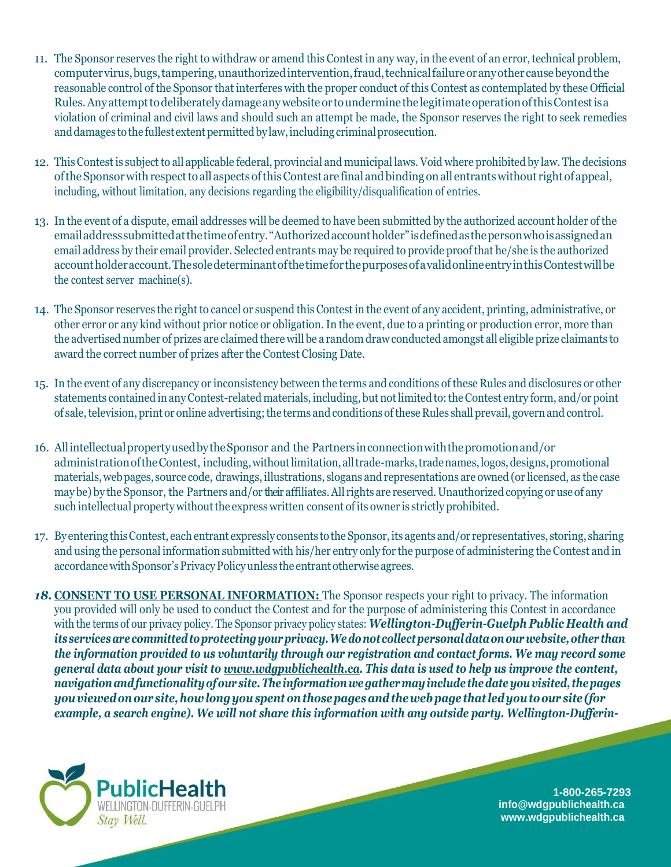- 11. The Sponsor reserves the right to withdraw or amend this Contest in any way, in the event of an error, technical problem, computervirus,bugs,tampering,unauthorizedintervention,fraud,technicalfailureoranyothercausebeyondthe reasonable control of the Sponsor that interferes with the proper conduct of this Contest as contemplated by these Official Rules.Anyattempttodeliberatelydamageanywebsiteor tounderminethe legitimateoperationofthisContestisa violation of criminal and civil laws and should such an attempt be made, the Sponsor reserves the right to seek remedies and damages to the fullest extent permitted by law, including criminal prosecution.
- 12. ThisContest is subjectto all applicable federal, provincial and municipal laws. Void where prohibited by law. The decisions oftheSponsorwithrespecttoall aspectsofthisContest are final andbindingonall entrantswithout rightofappeal, including, without limitation, any decisions regarding the eligibility/disqualification of entries.
- 13. In the event of a dispute, email addresses will be deemed to have been submitted by the authorized account holder of the emailaddresssubmittedatthetimeofentry."Authorizedaccountholder"isdefinedasthepersonwhoisassignedan email address by their email provider. Selected entrants may be required to provide proof that he/she is the authorized accountholderaccount.ThesoledeterminantofthetimeforthepurposesofavalidonlineentryinthisContestwillbe the contest server machine(s).
- 14. The Sponsor reserves the rightto cancel or suspend this Contest in the event of any accident, printing, administrative, or other error or any kind without prior notice or obligation.In the event, due to a printing or production error, more than the advertised number of prizes are claimed there will be a random drawconducted amongst all eligible prize claimants to award the correct number of prizes after the Contest Closing Date.
- 15. In the event of any discrepancy or inconsistency between the terms and conditions of these Rules and disclosures or other statements contained inanyContest-related materials, including, but notlimited to:theContest entry form, and/or point of sale,television, print or online advertising;the terms and conditions ofthese Rules shall prevail, governand control.
- 16. AllintellectualpropertyusedbytheSponsor and the Partnersinconnectionwiththepromotionand/or administration of the Contest, including, without limitation, all trade-marks, trade names, logos, designs, promotional materials,webpages, source code, drawings, illustrations, slogans and representations are owned (or licensed, as the case may be) by the Sponsor, the Partners and/or their affiliates.All rights are reserved. Unauthorized copying or use of any such intellectual property without the express written consent of its owner is strictly prohibited.
- 17. By entering thisContest, eachentrant expressly consents tothe Sponsor,its agents and/or representatives, storing, sharing and using the personal information submitted with his/her entry only for the purpose of administering the Contest and in accordance with Sponsor's Privacy Policy unless the entrant otherwise agrees.
- *18.* **CONSENT TO USE PERSONAL INFORMATION:** The Sponsor respects your right to privacy. The information you provided will only be used to conduct the Contest and for the purpose of administering this Contest in accordance with the terms of our privacy policy. The Sponsor privacy policy states: *Wellington-Dufferin-Guelph Public Health and its* services are committed to protecting your privacy. We do not collect personal data on our website, other than *the information provided to us voluntarily through our registration and contact forms. We may record some general data about your visit to [www.wdgpublichealth.ca.](http://www.wdgpublichealth.ca/) This data is used to help us improve the content, navigationandfunctionalityofour site.The informationwegathermayinclude thedateyouvisited, thepages youviewedonour site,howlongyouspentonthosepagesandthewebpage that ledyoutoour site (for example, a search engine). We will not share this information with any outside party. Wellington-Dufferin-*



**1-800-265-7293 [info@wdgpublichealth.ca](mailto:info@wdgpublichealth.ca) [www.wdgpublichealth.ca](http://www.wdgpublichealth.ca/)**